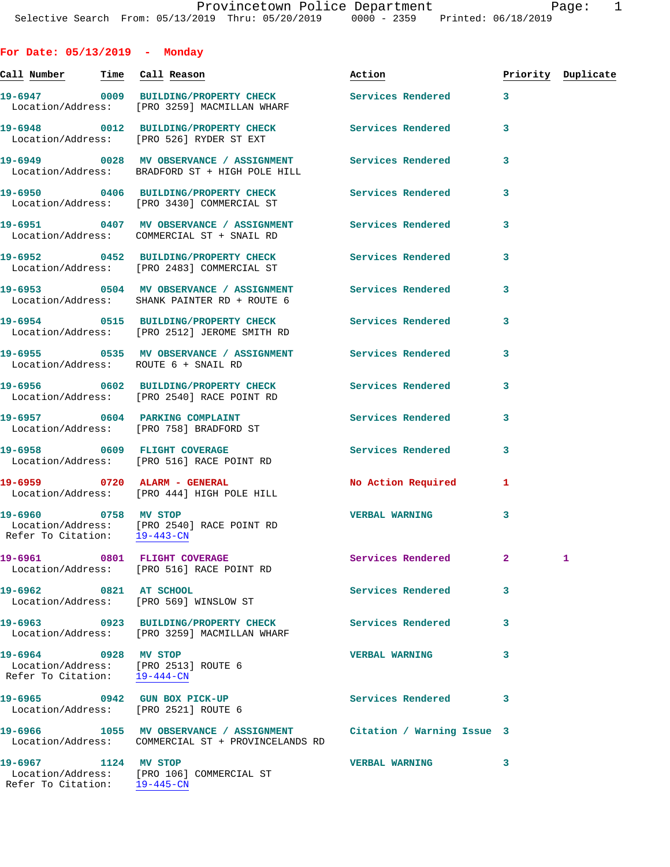**For Date: 05/13/2019 - Monday**

| <u>Call Number — Time Call Reason</u>                |                                                                                                                          | Action                    |                | Priority Duplicate |
|------------------------------------------------------|--------------------------------------------------------------------------------------------------------------------------|---------------------------|----------------|--------------------|
|                                                      | 19-6947 0009 BUILDING/PROPERTY CHECK Services Rendered 3<br>Location/Address: [PRO 3259] MACMILLAN WHARF                 |                           |                |                    |
|                                                      | 19-6948 0012 BUILDING/PROPERTY CHECK Services Rendered<br>Location/Address: [PRO 526] RYDER ST EXT                       |                           | 3              |                    |
|                                                      | 19-6949 0028 MV OBSERVANCE / ASSIGNMENT Services Rendered<br>Location/Address: BRADFORD ST + HIGH POLE HILL              |                           | 3              |                    |
|                                                      | 19-6950 0406 BUILDING/PROPERTY CHECK<br>Location/Address: [PRO 3430] COMMERCIAL ST                                       | Services Rendered         | 3              |                    |
|                                                      | 19-6951 0407 MV OBSERVANCE / ASSIGNMENT Services Rendered<br>Location/Address: COMMERCIAL ST + SNAIL RD                  |                           | 3              |                    |
|                                                      | 19-6952 0452 BUILDING/PROPERTY CHECK Services Rendered<br>Location/Address: [PRO 2483] COMMERCIAL ST                     |                           | 3              |                    |
|                                                      | 19-6953  OSO4 MV OBSERVANCE / ASSIGNMENT Services Rendered<br>Location/Address: SHANK PAINTER RD + ROUTE 6               |                           | 3              |                    |
|                                                      | 19-6954 0515 BUILDING/PROPERTY CHECK Services Rendered<br>Location/Address: [PRO 2512] JEROME SMITH RD                   |                           | 3              |                    |
|                                                      | Location/Address: ROUTE 6 + SNAIL RD                                                                                     |                           | 3              |                    |
|                                                      | 19-6956 0602 BUILDING/PROPERTY CHECK Services Rendered<br>Location/Address: [PRO 2540] RACE POINT RD                     |                           | 3              |                    |
|                                                      | 19-6957 0604 PARKING COMPLAINT<br>Location/Address: [PRO 758] BRADFORD ST                                                | Services Rendered         | 3              |                    |
|                                                      | 19-6958 0609 FLIGHT COVERAGE<br>Location/Address: [PRO 516] RACE POINT RD                                                | Services Rendered         | 3              |                    |
|                                                      | 19-6959 0720 ALARM - GENERAL<br>Location/Address: [PRO 444] HIGH POLE HILL                                               | <b>No Action Required</b> | 1              |                    |
| 19-6960 0758 MV STOP<br>Refer To Citation: 19-443-CN | Location/Address: [PRO 2540] RACE POINT RD                                                                               | <b>VERBAL WARNING</b>     | 3              |                    |
|                                                      | 19-6961 0801 FLIGHT COVERAGE<br>Location/Address: [PRO 516] RACE POINT RD                                                | Services Rendered         | $\mathbf{2}^-$ | 1                  |
| 19-6962 0821 AT SCHOOL                               | Location/Address: [PRO 569] WINSLOW ST                                                                                   | Services Rendered         | 3              |                    |
|                                                      | 19-6963 0923 BUILDING/PROPERTY CHECK Services Rendered<br>Location/Address: [PRO 3259] MACMILLAN WHARF                   |                           | 3              |                    |
| 19-6964 0928 MV STOP                                 | Location/Address: [PRO 2513] ROUTE 6<br>Refer To Citation: 19-444-CN                                                     | <b>VERBAL WARNING</b>     | 3              |                    |
|                                                      | Location/Address: [PRO 2521] ROUTE 6                                                                                     | Services Rendered         | 3              |                    |
|                                                      | 19-6966 1055 MV OBSERVANCE / ASSIGNMENT Citation / Warning Issue 3<br>Location/Address: COMMERCIAL ST + PROVINCELANDS RD |                           |                |                    |
| 19-6967 1124 MV STOP<br>Refer To Citation: 19-445-CN | Location/Address: [PRO 106] COMMERCIAL ST                                                                                | <b>VERBAL WARNING</b>     | 3              |                    |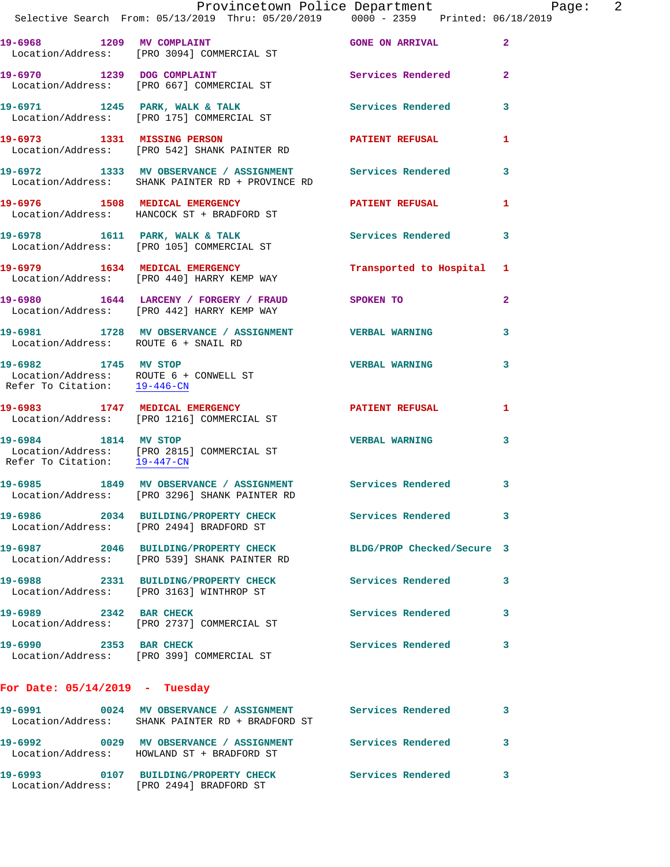|                                      | Provincetown Police Department<br>Selective Search From: 05/13/2019 Thru: 05/20/2019 0000 - 2359 Printed: 06/18/2019 |                            |              |
|--------------------------------------|----------------------------------------------------------------------------------------------------------------------|----------------------------|--------------|
|                                      | 19-6968 1209 MV COMPLAINT<br>Location/Address: [PRO 3094] COMMERCIAL ST                                              | <b>GONE ON ARRIVAL</b>     | $\mathbf{2}$ |
|                                      | 19-6970 1239 DOG COMPLAINT<br>Location/Address: [PRO 667] COMMERCIAL ST                                              | Services Rendered          | $\mathbf{2}$ |
|                                      | 19-6971 1245 PARK, WALK & TALK<br>Location/Address: [PRO 175] COMMERCIAL ST                                          | Services Rendered          | 3            |
|                                      | 19-6973 1331 MISSING PERSON<br>Location/Address: [PRO 542] SHANK PAINTER RD                                          | PATIENT REFUSAL            | 1            |
|                                      | 19-6972 1333 MV OBSERVANCE / ASSIGNMENT Services Rendered<br>Location/Address: SHANK PAINTER RD + PROVINCE RD        |                            | 3            |
|                                      | 19-6976 1508 MEDICAL EMERGENCY NEW PATIENT REFUSAL<br>Location/Address: HANCOCK ST + BRADFORD ST                     |                            | 1            |
|                                      | 19-6978 1611 PARK, WALK & TALK<br>Location/Address: [PRO 105] COMMERCIAL ST                                          | Services Rendered          | 3            |
|                                      | 19-6979 1634 MEDICAL EMERGENCY<br>Location/Address: [PRO 440] HARRY KEMP WAY                                         | Transported to Hospital 1  |              |
|                                      | 19-6980 1644 LARCENY / FORGERY / FRAUD SPOKEN TO<br>Location/Address: [PRO 442] HARRY KEMP WAY                       |                            | 2            |
| Location/Address: ROUTE 6 + SNAIL RD | 19-6981 1728 MV OBSERVANCE / ASSIGNMENT VERBAL WARNING                                                               |                            | 3            |
| Refer To Citation: 19-446-CN         | 19-6982 1745 MV STOP<br>Location/Address: ROUTE 6 + CONWELL ST                                                       | <b>VERBAL WARNING</b>      | 3            |
|                                      | 19-6983 1747 MEDICAL EMERGENCY<br>Location/Address: [PRO 1216] COMMERCIAL ST                                         | <b>PATIENT REFUSAL</b>     | 1            |
| 19-6984 1814 MV STOP                 | Location/Address: [PRO 2815] COMMERCIAL ST<br>Refer To Citation: $\frac{19-447-CN}{\ }$                              | <b>VERBAL WARNING</b>      | 3            |
|                                      | 19-6985 1849 MV OBSERVANCE / ASSIGNMENT Services Rendered<br>Location/Address: [PRO 3296] SHANK PAINTER RD           |                            | 3            |
|                                      | 19-6986 2034 BUILDING/PROPERTY CHECK<br>Location/Address: [PRO 2494] BRADFORD ST                                     | Services Rendered          | 3            |
|                                      | 19-6987 2046 BUILDING/PROPERTY CHECK<br>Location/Address: [PRO 539] SHANK PAINTER RD                                 | BLDG/PROP Checked/Secure 3 |              |
|                                      | 19-6988 2331 BUILDING/PROPERTY CHECK<br>Location/Address: [PRO 3163] WINTHROP ST                                     | Services Rendered          | 3            |
| 19-6989 2342 BAR CHECK               | Location/Address: [PRO 2737] COMMERCIAL ST                                                                           | Services Rendered          | 3            |
| 19-6990 2353 BAR CHECK               | Location/Address: [PRO 399] COMMERCIAL ST                                                                            | <b>Services Rendered</b>   | 3            |
| For Date: $05/14/2019$ - Tuesday     |                                                                                                                      |                            |              |
|                                      | 19-6991 0024 MV OBSERVANCE / ASSIGNMENT Services Rendered<br>Location/Address: SHANK PAINTER RD + BRADFORD ST        |                            | 3            |
|                                      | 19-6992 0029 MV OBSERVANCE / ASSIGNMENT<br>Location/Address: HOWLAND ST + BRADFORD ST                                | <b>Services Rendered</b>   | 3            |

**19-6993 0107 BUILDING/PROPERTY CHECK Services Rendered 3**  Location/Address: [PRO 2494] BRADFORD ST

Page: 2<br><sup>19</sup>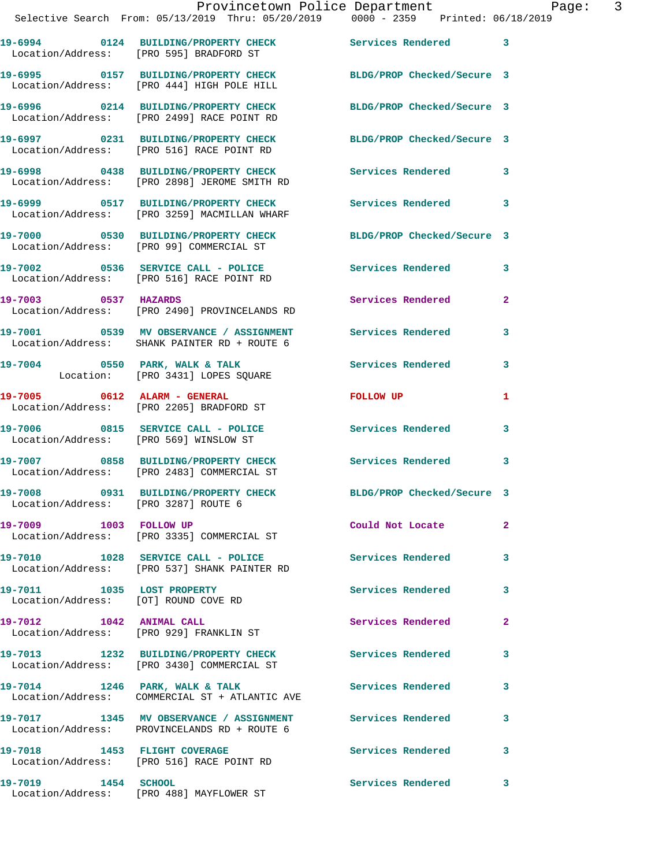|                                      | Provincetown Police Department Page:<br>Selective Search From: 05/13/2019 Thru: 05/20/2019 0000 - 2359 Printed: 06/18/2019 |                            |                | $\overline{3}$ |
|--------------------------------------|----------------------------------------------------------------------------------------------------------------------------|----------------------------|----------------|----------------|
|                                      | 19-6994 0124 BUILDING/PROPERTY CHECK Services Rendered 3<br>Location/Address: [PRO 595] BRADFORD ST                        |                            |                |                |
|                                      | 19-6995 0157 BUILDING/PROPERTY CHECK BLDG/PROP Checked/Secure 3<br>Location/Address: [PRO 444] HIGH POLE HILL              |                            |                |                |
|                                      | 19-6996 0214 BUILDING/PROPERTY CHECK BLDG/PROP Checked/Secure 3<br>Location/Address: [PRO 2499] RACE POINT RD              |                            |                |                |
|                                      | 19-6997 0231 BUILDING/PROPERTY CHECK BLDG/PROP Checked/Secure 3<br>Location/Address: [PRO 516] RACE POINT RD               |                            |                |                |
|                                      | 19-6998 0438 BUILDING/PROPERTY CHECK Services Rendered 3<br>Location/Address: [PRO 2898] JEROME SMITH RD                   |                            |                |                |
|                                      | 19-6999 0517 BUILDING/PROPERTY CHECK Services Rendered 3<br>Location/Address: [PRO 3259] MACMILLAN WHARF                   |                            |                |                |
|                                      | 19-7000 0530 BUILDING/PROPERTY CHECK BLDG/PROP Checked/Secure 3<br>Location/Address: [PRO 99] COMMERCIAL ST                |                            |                |                |
|                                      | 19-7002 0536 SERVICE CALL - POLICE Services Rendered<br>Location/Address: [PRO 516] RACE POINT RD                          |                            | 3              |                |
| 19-7003 0537 HAZARDS                 | Location/Address: [PRO 2490] PROVINCELANDS RD                                                                              | Services Rendered          | $\overline{2}$ |                |
|                                      | 19-7001 0539 MV OBSERVANCE / ASSIGNMENT Services Rendered<br>Location/Address: SHANK PAINTER RD + ROUTE 6                  |                            | 3              |                |
|                                      | 19-7004 0550 PARK, WALK & TALK 30 Services Rendered<br>Location: [PRO 3431] LOPES SQUARE                                   |                            | $\mathbf{3}$   |                |
|                                      | 19-7005 0612 ALARM - GENERAL<br>Location/Address: [PRO 2205] BRADFORD ST                                                   | FOLLOW UP                  | 1              |                |
|                                      | 19-7006 0815 SERVICE CALL - POLICE Services Rendered 3<br>Location/Address: [PRO 569] WINSLOW ST                           |                            |                |                |
|                                      | Location/Address: [PRO 2483] COMMERCIAL ST                                                                                 | Services Rendered          | 3              |                |
| Location/Address: [PRO 3287] ROUTE 6 | 19-7008 0931 BUILDING/PROPERTY CHECK                                                                                       | BLDG/PROP Checked/Secure 3 |                |                |
| 19-7009 1003 FOLLOW UP               | Location/Address: [PRO 3335] COMMERCIAL ST                                                                                 | Could Not Locate           | $\mathbf{2}$   |                |
|                                      |                                                                                                                            |                            |                |                |

**19-7010 1028 SERVICE CALL - POLICE Services Rendered 3**  Location/Address: [PRO 537] SHANK PAINTER RD

**19-7012 1042 ANIMAL CALL Services Rendered 2** 

Location/Address: [OT] ROUND COVE RD

Location/Address: [PRO 929] FRANKLIN ST

Location/Address: [PRO 3430] COMMERCIAL ST

19-7014 1246 PARK, WALK & TALK **Services Rendered** 3 Location/Address: COMMERCIAL ST + ATLANTIC AVE

**19-7017 1345 MV OBSERVANCE / ASSIGNMENT Services Rendered 3**  Location/Address: PROVINCELANDS RD + ROUTE 6

**19-7018 1453 FLIGHT COVERAGE Services Rendered 3**  Location/Address: [PRO 516] RACE POINT RD

**19-7019 1454 SCHOOL Services Rendered 3**  Location/Address: [PRO 488] MAYFLOWER ST

**19-7011 1035 LOST PROPERTY Services Rendered 3** 

**19-7013 1232 BUILDING/PROPERTY CHECK Services Rendered 3**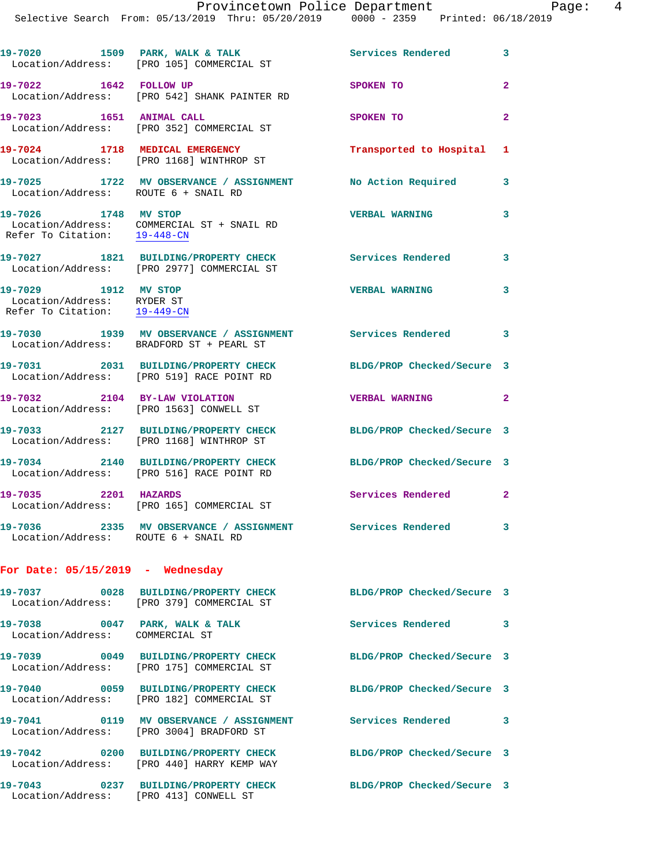|                                                                                    | 19-7020 1509 PARK, WALK & TALK<br>Location/Address: [PRO 105] COMMERCIAL ST                             | <b>Services Rendered</b> 3 |                            |
|------------------------------------------------------------------------------------|---------------------------------------------------------------------------------------------------------|----------------------------|----------------------------|
| 19-7022 1642 FOLLOW UP                                                             | Location/Address: [PRO 542] SHANK PAINTER RD                                                            | SPOKEN TO                  | $\overline{2}$             |
| 19-7023 1651 ANIMAL CALL                                                           | Location/Address: [PRO 352] COMMERCIAL ST                                                               | SPOKEN TO                  | $\overline{2}$             |
|                                                                                    | 19-7024 1718 MEDICAL EMERGENCY<br>Location/Address: [PRO 1168] WINTHROP ST                              | Transported to Hospital 1  |                            |
| Location/Address: ROUTE 6 + SNAIL RD                                               | 19-7025 1722 MV OBSERVANCE / ASSIGNMENT                                                                 | No Action Required         | 3                          |
| 19-7026 1748 MV STOP                                                               | Location/Address: COMMERCIAL ST + SNAIL RD<br>Refer To Citation: 19-448-CN                              | <b>VERBAL WARNING</b>      | 3                          |
|                                                                                    | 19-7027 1821 BUILDING/PROPERTY CHECK<br>Location/Address: [PRO 2977] COMMERCIAL ST                      | <b>Services Rendered</b>   | $\overline{\phantom{a}}$ 3 |
| 19-7029 1912 MV STOP<br>Location/Address: RYDER ST<br>Refer To Citation: 19-449-CN |                                                                                                         | <b>VERBAL WARNING</b>      | $\overline{\mathbf{3}}$    |
|                                                                                    | 19-7030 1939 MV OBSERVANCE / ASSIGNMENT Services Rendered 3<br>Location/Address: BRADFORD ST + PEARL ST |                            |                            |
|                                                                                    | 19-7031 2031 BUILDING/PROPERTY CHECK<br>Location/Address: [PRO 519] RACE POINT RD                       | BLDG/PROP Checked/Secure 3 |                            |
| 19-7032 2104 BY-LAW VIOLATION                                                      | Location/Address: [PRO 1563] CONWELL ST                                                                 | VERBAL WARNING 2           |                            |
|                                                                                    | 19-7033 2127 BUILDING/PROPERTY CHECK<br>Location/Address: [PRO 1168] WINTHROP ST                        | BLDG/PROP Checked/Secure 3 |                            |
|                                                                                    | 19-7034 2140 BUILDING/PROPERTY CHECK<br>Location/Address: [PRO 516] RACE POINT RD                       | BLDG/PROP Checked/Secure 3 |                            |
| 19-7035 2201 HAZARDS                                                               | Location/Address: [PRO 165] COMMERCIAL ST                                                               | Services Rendered          | $\mathbf{2}$               |
| Location/Address: ROUTE 6 + SNAIL RD                                               | 19-7036 2335 MV OBSERVANCE / ASSIGNMENT Services Rendered                                               |                            | 3                          |

## **For Date: 05/15/2019 - Wednesday**

|                                                                   | Location/Address: [PRO 379] COMMERCIAL ST | BLDG/PROP Checked/Secure 3 |              |
|-------------------------------------------------------------------|-------------------------------------------|----------------------------|--------------|
| 19-7038 0047 PARK, WALK & TALK<br>Location/Address: COMMERCIAL ST |                                           | Services Rendered          | $\mathbf{3}$ |
|                                                                   | Location/Address: [PRO 175] COMMERCIAL ST | BLDG/PROP Checked/Secure 3 |              |
| Location/Address:                                                 | [PRO 182] COMMERCIAL ST                   | BLDG/PROP Checked/Secure 3 |              |
| Location/Address:                                                 | FPRO 30041 BRADFORD ST                    | Services Rendered          | 3            |
| Location/Address:                                                 | [PRO 440] HARRY KEMP WAY                  | BLDG/PROP Checked/Secure 3 |              |
| Location/Address:                                                 | [PRO 413] CONWELL ST                      | BLDG/PROP Checked/Secure 3 |              |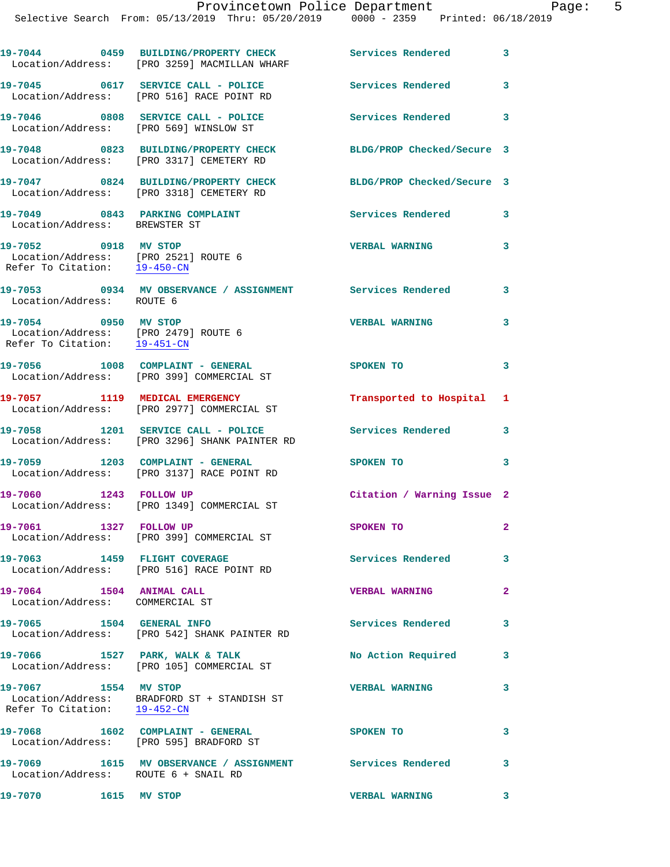|                                                                                              | 19-7044 0459 BUILDING/PROPERTY CHECK<br>Location/Address: [PRO 3259] MACMILLAN WHARF            | Services Rendered 3                             |                         |
|----------------------------------------------------------------------------------------------|-------------------------------------------------------------------------------------------------|-------------------------------------------------|-------------------------|
|                                                                                              | 19-7045 0617 SERVICE CALL - POLICE<br>Location/Address: [PRO 516] RACE POINT RD                 | <b>Services Rendered</b>                        | $\overline{\mathbf{3}}$ |
| Location/Address: [PRO 569] WINSLOW ST                                                       | 19-7046 0808 SERVICE CALL - POLICE                                                              | Services Rendered 3                             |                         |
|                                                                                              | 19-7048 0823 BUILDING/PROPERTY CHECK<br>Location/Address: [PRO 3317] CEMETERY RD                | BLDG/PROP Checked/Secure 3                      |                         |
|                                                                                              | 19-7047 0824 BUILDING/PROPERTY CHECK<br>Location/Address: [PRO 3318] CEMETERY RD                | BLDG/PROP Checked/Secure 3                      |                         |
| 19-7049 0843 PARKING COMPLAINT<br>Location/Address: BREWSTER ST                              |                                                                                                 | Services Rendered 3                             |                         |
| 19-7052 0918 MV STOP<br>Location/Address: [PRO 2521] ROUTE 6<br>Refer To Citation: 19-450-CN |                                                                                                 | <b>VERBAL WARNING</b>                           | 3                       |
| Location/Address: ROUTE 6                                                                    | 19-7053 0934 MV OBSERVANCE / ASSIGNMENT Services Rendered 3                                     |                                                 |                         |
| 19-7054 0950 MV STOP<br>Location/Address: [PRO 2479] ROUTE 6<br>Refer To Citation: 19-451-CN |                                                                                                 | <b>VERBAL WARNING</b>                           | 3                       |
|                                                                                              | 19-7056 1008 COMPLAINT - GENERAL<br>Location/Address: [PRO 399] COMMERCIAL ST                   | SPOKEN TO                                       | 3                       |
|                                                                                              | 19-7057 1119 MEDICAL EMERGENCY<br>Location/Address: [PRO 2977] COMMERCIAL ST                    | Transported to Hospital                         | 1                       |
|                                                                                              | 19-7058 1201 SERVICE CALL - POLICE<br>Location/Address: [PRO 3296] SHANK PAINTER RD             | Services Rendered 3                             |                         |
|                                                                                              | 19-7059 1203 COMPLAINT - GENERAL<br>Location/Address: [PRO 3137] RACE POINT RD                  | SPOKEN TO                                       | 3                       |
| 1243 FOLLOW UP<br>19-7060                                                                    | Location/Address: [PRO 1349] COMMERCIAL ST                                                      | Citation / Warning Issue 2                      |                         |
| 1327 FOLLOW UP<br>19-7061                                                                    | Location/Address: [PRO 399] COMMERCIAL ST                                                       | SPOKEN TO                                       | 2                       |
|                                                                                              | 19-7063 1459 FLIGHT COVERAGE<br>Location/Address: [PRO 516] RACE POINT RD                       | <b>Services Rendered</b>                        | 3                       |
| 19-7064 1504 ANIMAL CALL<br>Location/Address: COMMERCIAL ST                                  |                                                                                                 | <b>VERBAL WARNING</b>                           | $\overline{2}$          |
| 19-7065 1504 GENERAL INFO                                                                    | Location/Address: [PRO 542] SHANK PAINTER RD                                                    | Services Rendered                               | 3                       |
|                                                                                              | 19-7066 1527 PARK, WALK & TALK<br>Location/Address: [PRO 105] COMMERCIAL ST                     | No Action Required                              | 3                       |
| 19-7067 1554 MV STOP                                                                         | Location/Address: BRADFORD ST + STANDISH ST<br>Refer To Citation: $\frac{19-452-CM}{\sqrt{10}}$ | <b>VERBAL WARNING</b>                           | 3                       |
|                                                                                              | 19-7068 1602 COMPLAINT - GENERAL<br>Location/Address: [PRO 595] BRADFORD ST                     | SPOKEN TO                                       | 3                       |
| Location/Address: ROUTE 6 + SNAIL RD                                                         | 19-7069 1615 MV OBSERVANCE / ASSIGNMENT Services Rendered 3                                     |                                                 |                         |
| 19-7070 1615 MV STOP                                                                         |                                                                                                 | <b>VERBAL WARNING</b><br>$\sim$ $\sim$ $\sim$ 3 |                         |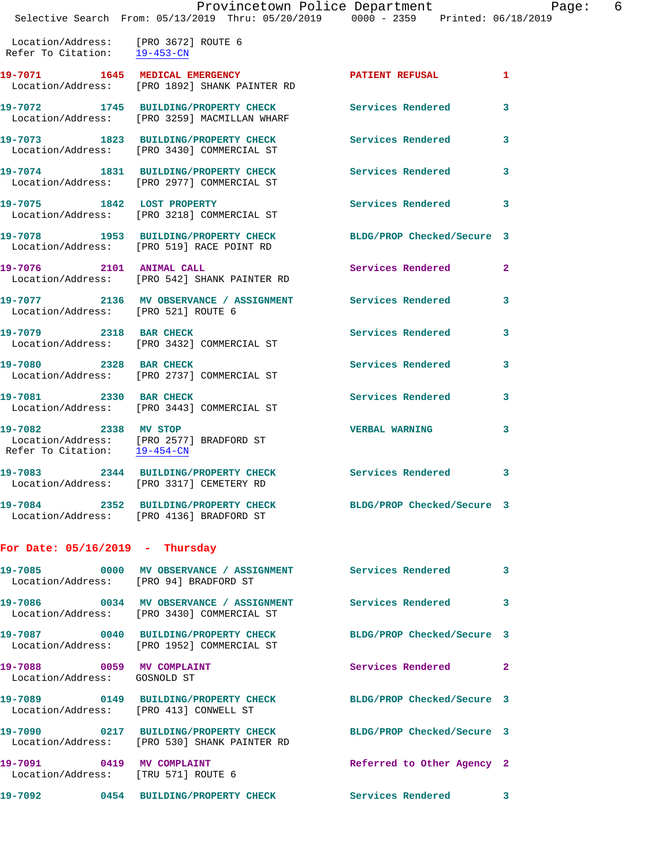|                                                                                   | Provincetown Police Department I<br>Selective Search From: 05/13/2019 Thru: 05/20/2019 0000 - 2359 Printed: 06/18/2019 |                            | 6<br>Page:   |
|-----------------------------------------------------------------------------------|------------------------------------------------------------------------------------------------------------------------|----------------------------|--------------|
| Location/Address: [PRO 3672] ROUTE 6<br>Refer To Citation: $\frac{19-453-CN}{29}$ |                                                                                                                        |                            |              |
|                                                                                   | 19-7071 1645 MEDICAL EMERGENCY<br>Location/Address: [PRO 1892] SHANK PAINTER RD                                        | PATIENT REFUSAL 1          |              |
|                                                                                   | 19-7072 1745 BUILDING/PROPERTY CHECK Services Rendered 3<br>Location/Address: [PRO 3259] MACMILLAN WHARF               |                            |              |
|                                                                                   | 19-7073 1823 BUILDING/PROPERTY CHECK Services Rendered 3<br>Location/Address: [PRO 3430] COMMERCIAL ST                 |                            |              |
|                                                                                   | 19-7074 1831 BUILDING/PROPERTY CHECK Services Rendered 3<br>Location/Address: [PRO 2977] COMMERCIAL ST                 |                            |              |
|                                                                                   | 19-7075 1842 LOST PROPERTY<br>Location/Address: [PRO 3218] COMMERCIAL ST                                               | Services Rendered 3        |              |
|                                                                                   | 19-7078 1953 BUILDING/PROPERTY CHECK BLDG/PROP Checked/Secure 3<br>Location/Address: [PRO 519] RACE POINT RD           |                            |              |
|                                                                                   | 19-7076 2101 ANIMAL CALL<br>Location/Address: [PRO 542] SHANK PAINTER RD                                               | Services Rendered 2        |              |
| Location/Address: [PRO 521] ROUTE 6                                               | 19-7077 2136 MV OBSERVANCE / ASSIGNMENT Services Rendered 3                                                            |                            |              |
|                                                                                   | 19-7079 2318 BAR CHECK<br>Location/Address: [PRO 3432] COMMERCIAL ST                                                   | Services Rendered          | $\mathbf{3}$ |
| 19-7080 2328 BAR CHECK                                                            | Location/Address: [PRO 2737] COMMERCIAL ST                                                                             | Services Rendered          | 3            |
|                                                                                   | 19-7081 2330 BAR CHECK<br>Location/Address: [PRO 3443] COMMERCIAL ST                                                   | Services Rendered 3        |              |
| 19-7082 2338 MV STOP<br>Refer To Citation: 19-454-CN                              | Location/Address: [PRO 2577] BRADFORD ST                                                                               | VERBAL WARNING 3           |              |
|                                                                                   | 19-7083 2344 BUILDING/PROPERTY CHECK Services Rendered 3<br>Location/Address: [PRO 3317] CEMETERY RD                   |                            |              |
|                                                                                   | 19-7084 2352 BUILDING/PROPERTY CHECK BLDG/PROP Checked/Secure 3<br>Location/Address: [PRO 4136] BRADFORD ST            |                            |              |
| For Date: $05/16/2019$ - Thursday                                                 |                                                                                                                        |                            |              |
|                                                                                   | 19-7085 0000 MV OBSERVANCE / ASSIGNMENT Services Rendered 3<br>Location/Address: [PRO 94] BRADFORD ST                  |                            |              |
|                                                                                   | 19-7086 0034 MV OBSERVANCE / ASSIGNMENT Services Rendered 3<br>Location/Address: [PRO 3430] COMMERCIAL ST              |                            |              |
|                                                                                   | 19-7087 0040 BUILDING/PROPERTY CHECK BLDG/PROP Checked/Secure 3<br>Location/Address: [PRO 1952] COMMERCIAL ST          |                            |              |
| 19-7088 0059 MV COMPLAINT<br>Location/Address: GOSNOLD ST                         |                                                                                                                        | Services Rendered 2        |              |
|                                                                                   | 19-7089 0149 BUILDING/PROPERTY CHECK BLDG/PROP Checked/Secure 3<br>Location/Address: [PRO 413] CONWELL ST              |                            |              |
|                                                                                   | 19-7090 0217 BUILDING/PROPERTY CHECK BLDG/PROP Checked/Secure 3<br>Location/Address: [PRO 530] SHANK PAINTER RD        |                            |              |
| Location/Address: [TRU 571] ROUTE 6                                               | 19-7091 0419 MV COMPLAINT                                                                                              | Referred to Other Agency 2 |              |
|                                                                                   | 19-7092 0454 BUILDING/PROPERTY CHECK Services Rendered 3                                                               |                            |              |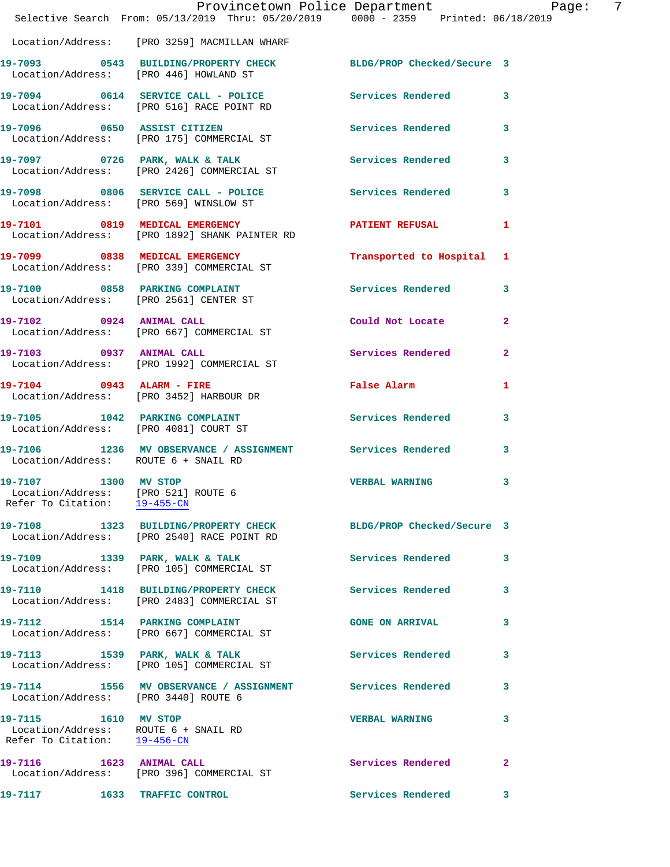|                      | Provincetown Police Department Page: 7<br>Selective Search From: 05/13/2019 Thru: 05/20/2019 0000 - 2359 Printed: 06/18/2019 |                                    |              |
|----------------------|------------------------------------------------------------------------------------------------------------------------------|------------------------------------|--------------|
|                      | Location/Address: [PRO 3259] MACMILLAN WHARF                                                                                 |                                    |              |
|                      | 19-7093 0543 BUILDING/PROPERTY CHECK BLDG/PROP Checked/Secure 3<br>Location/Address: [PRO 446] HOWLAND ST                    |                                    |              |
|                      | 19-7094 0614 SERVICE CALL - POLICE Services Rendered 3<br>Location/Address: [PRO 516] RACE POINT RD                          |                                    |              |
|                      | 19-7096 0650 ASSIST CITIZEN<br>Location/Address: [PRO 175] COMMERCIAL ST                                                     | Services Rendered 3                |              |
|                      | 19-7097 0726 PARK, WALK & TALK 1999 Services Rendered 3<br>Location/Address: [PRO 2426] COMMERCIAL ST                        |                                    |              |
|                      | 19-7098 0806 SERVICE CALL - POLICE Services Rendered 3<br>Location/Address: [PRO 569] WINSLOW ST                             |                                    |              |
|                      | 19-7101 0819 MEDICAL EMERGENCY PATIENT REFUSAL 1<br>Location/Address: [PRO 1892] SHANK PAINTER RD                            |                                    |              |
|                      | 19-7099 0838 MEDICAL EMERGENCY<br>Location/Address: [PRO 339] COMMERCIAL ST                                                  | Transported to Hospital 1          |              |
|                      | 19-7100 0858 PARKING COMPLAINT<br>Location/Address: [PRO 2561] CENTER ST                                                     | Services Rendered 3                |              |
|                      | 19-7102 0924 ANIMAL CALL<br>Location/Address: [PRO 667] COMMERCIAL ST                                                        | Could Not Locate                   | $\mathbf{2}$ |
|                      | 19-7103 0937 ANIMAL CALL<br>Location/Address: [PRO 1992] COMMERCIAL ST                                                       | Services Rendered                  | $\mathbf{2}$ |
|                      | 19-7104 0943 ALARM - FIRE<br>Location/Address: [PRO 3452] HARBOUR DR                                                         | False Alarm                        | 1            |
|                      | 19-7105 1042 PARKING COMPLAINT Services Rendered 3<br>Location/Address: [PRO 4081] COURT ST                                  |                                    |              |
|                      | 19-7106 1236 MV OBSERVANCE / ASSIGNMENT Services Rendered<br>Location/Address: ROUTE 6 + SNAIL RD                            |                                    | 3            |
| 19-7107 1300 MV STOP | Location/Address: [PRO 521] ROUTE 6<br>Refer To Citation: 19-455-CN                                                          | VERBAL WARNING                     | $\mathbf{3}$ |
|                      | 19-7108 1323 BUILDING/PROPERTY CHECK BLDG/PROP Checked/Secure 3<br>Location/Address: [PRO 2540] RACE POINT RD                |                                    |              |
|                      | 19-7109 1339 PARK, WALK & TALK<br>Location/Address: [PRO 105] COMMERCIAL ST                                                  | <b>Services Rendered</b> 3         |              |
|                      | 19-7110 1418 BUILDING/PROPERTY CHECK Services Rendered<br>Location/Address: [PRO 2483] COMMERCIAL ST                         |                                    | 3            |
|                      | 19-7112 1514 PARKING COMPLAINT<br>Location/Address: [PRO 667] COMMERCIAL ST                                                  | $\sim$ 3<br><b>GONE ON ARRIVAL</b> |              |
|                      | 19-7113 1539 PARK, WALK & TALK<br>Location/Address: [PRO 105] COMMERCIAL ST                                                  | <b>Services Rendered</b>           | 3            |
|                      | 19-7114 1556 MV OBSERVANCE / ASSIGNMENT Services Rendered 3<br>Location/Address: [PRO 3440] ROUTE 6                          |                                    |              |
|                      | 19-7115 1610 MV STOP<br>Location/Address: ROUTE 6 + SNAIL RD<br>Refer To Citation: 19-456-CN                                 | <b>VERBAL WARNING</b>              | 3            |
|                      | 19-7116 1623 ANIMAL CALL<br>Location/Address: [PRO 396] COMMERCIAL ST                                                        | <b>Services Rendered</b>           | 2            |
|                      | 19-7117 1633 TRAFFIC CONTROL                                                                                                 | <b>Services Rendered</b>           | 3            |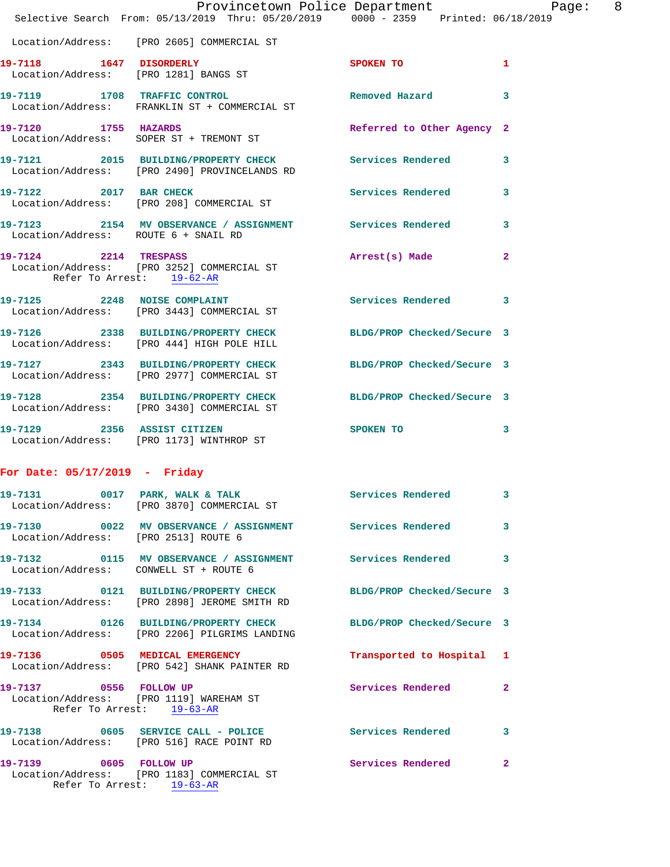| Provincetown Police Department<br>Selective Search From: 05/13/2019 Thru: 05/20/2019 0000 - 2359 Printed: 06/18/2019 |  |  |           |                            |                |  |
|----------------------------------------------------------------------------------------------------------------------|--|--|-----------|----------------------------|----------------|--|
|                                                                                                                      |  |  |           |                            |                |  |
| Location/Address: [PRO 2605] COMMERCIAL ST                                                                           |  |  |           |                            |                |  |
| 19-7118 1647 DISORDERLY<br>Location/Address: [PRO 1281] BANGS ST                                                     |  |  |           | SPOKEN TO                  | $\mathbf{1}$   |  |
| 19-7119 1708 TRAFFIC CONTROL 19 Removed Hazard<br>Location/Address: FRANKLIN ST + COMMERCIAL ST                      |  |  |           |                            | 3              |  |
| 19-7120 1755 HAZARDS<br>Location/Address: SOPER ST + TREMONT ST                                                      |  |  |           | Referred to Other Agency 2 |                |  |
| 19-7121 2015 BUILDING/PROPERTY CHECK Services Rendered<br>Location/Address: [PRO 2490] PROVINCELANDS RD              |  |  |           |                            | 3              |  |
| 19-7122 2017 BAR CHECK<br>Location/Address: [PRO 208] COMMERCIAL ST                                                  |  |  |           | Services Rendered 3        |                |  |
| 19-7123 2154 MV OBSERVANCE / ASSIGNMENT Services Rendered 3<br>Location/Address: ROUTE 6 + SNAIL RD                  |  |  |           |                            |                |  |
| 19-7124 2214 TRESPASS<br>Location/Address: [PRO 3252] COMMERCIAL ST<br>Refer To Arrest: 19-62-AR                     |  |  |           | Arrest(s) Made             | $\overline{2}$ |  |
| 19-7125 2248 NOISE COMPLAINT Services Rendered 3<br>Location/Address: [PRO 3443] COMMERCIAL ST                       |  |  |           |                            |                |  |
| 19-7126 2338 BUILDING/PROPERTY CHECK BLDG/PROP Checked/Secure 3<br>Location/Address: [PRO 444] HIGH POLE HILL        |  |  |           |                            |                |  |
| 19-7127 2343 BUILDING/PROPERTY CHECK BLDG/PROP Checked/Secure 3<br>Location/Address: [PRO 2977] COMMERCIAL ST        |  |  |           |                            |                |  |
| 19-7128 2354 BUILDING/PROPERTY CHECK BLDG/PROP Checked/Secure 3<br>Location/Address: [PRO 3430] COMMERCIAL ST        |  |  |           |                            |                |  |
| 19-7129 2356 ASSIST CITIZEN<br>Location/Address: [PRO 1173] WINTHROP ST                                              |  |  | SPOKEN TO |                            | 3              |  |
|                                                                                                                      |  |  |           |                            |                |  |

## **For Date: 05/17/2019 - Friday**

|                           | 19-7131 0017 PARK, WALK & TALK<br>Location/Address: [PRO 3870] COMMERCIAL ST                                     | Services Rendered 3       |                         |
|---------------------------|------------------------------------------------------------------------------------------------------------------|---------------------------|-------------------------|
|                           | 19-7130       0022   MV OBSERVANCE / ASSIGNMENT       Services Rendered<br>Location/Address: [PRO 2513] ROUTE 6  |                           | $\overline{\mathbf{3}}$ |
|                           | Location/Address: CONWELL ST + ROUTE 6                                                                           |                           |                         |
|                           | 19-7133 0121 BUILDING/PROPERTY CHECK BLDG/PROP Checked/Secure 3<br>Location/Address: [PRO 2898] JEROME SMITH RD  |                           |                         |
|                           | 19-7134 0126 BUILDING/PROPERTY CHECK BLDG/PROP Checked/Secure 3<br>Location/Address: [PRO 2206] PILGRIMS LANDING |                           |                         |
|                           | 19-7136 0505 MEDICAL EMERGENCY<br>Location/Address: [PRO 542] SHANK PAINTER RD                                   | Transported to Hospital 1 |                         |
|                           | 19-7137 0556 FOLLOW UP<br>Location/Address: [PRO 1119] WAREHAM ST<br>Refer To Arrest: 19-63-AR                   | Services Rendered 2       |                         |
|                           | 19-7138 0605 SERVICE CALL - POLICE 3 Services Rendered<br>Location/Address: [PRO 516] RACE POINT RD              |                           | $\overline{\mathbf{3}}$ |
| Refer To Arrest: 19-63-AR | Location/Address: [PRO 1183] COMMERCIAL ST                                                                       | Services Rendered 2       |                         |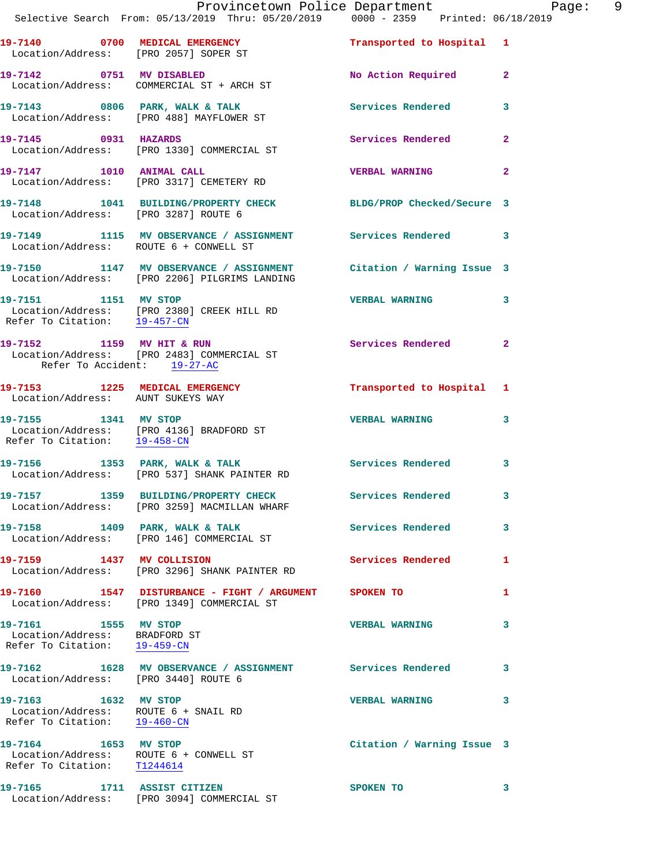|                                                                                               | Provincetown Police Department<br>Selective Search From: 05/13/2019 Thru: 05/20/2019 0000 - 2359 Printed: 06/18/2019 |                            | F              |
|-----------------------------------------------------------------------------------------------|----------------------------------------------------------------------------------------------------------------------|----------------------------|----------------|
|                                                                                               | 19-7140 0700 MEDICAL EMERGENCY<br>Location/Address: [PRO 2057] SOPER ST                                              | Transported to Hospital 1  |                |
|                                                                                               | 19-7142 0751 MV DISABLED<br>Location/Address: COMMERCIAL ST + ARCH ST                                                | No Action Required         | $\overline{2}$ |
|                                                                                               | 19-7143 0806 PARK, WALK & TALK<br>Location/Address: [PRO 488] MAYFLOWER ST                                           | <b>Services Rendered</b>   | 3              |
| 19-7145 0931 HAZARDS                                                                          | Location/Address: [PRO 1330] COMMERCIAL ST                                                                           | Services Rendered          | $\overline{a}$ |
|                                                                                               | 19-7147 1010 ANIMAL CALL<br>Location/Address: [PRO 3317] CEMETERY RD                                                 | <b>VERBAL WARNING</b>      | $\overline{a}$ |
| Location/Address: [PRO 3287] ROUTE 6                                                          | 19-7148 1041 BUILDING/PROPERTY CHECK BLDG/PROP Checked/Secure 3                                                      |                            |                |
|                                                                                               | 19-7149 1115 MV OBSERVANCE / ASSIGNMENT Services Rendered<br>Location/Address: ROUTE 6 + CONWELL ST                  |                            | 3              |
|                                                                                               | 19-7150 1147 MV OBSERVANCE / ASSIGNMENT Citation / Warning Issue 3<br>Location/Address: [PRO 2206] PILGRIMS LANDING  |                            |                |
| 19-7151 1151 MV STOP<br>Refer To Citation: 19-457-CN                                          | Location/Address: [PRO 2380] CREEK HILL RD                                                                           | <b>VERBAL WARNING</b>      | 3              |
| Refer To Accident: 19-27-AC                                                                   | 19-7152 1159 MV HIT & RUN<br>Location/Address: [PRO 2483] COMMERCIAL ST                                              | <b>Services Rendered</b>   | $\mathbf{2}$   |
| Location/Address: AUNT SUKEYS WAY                                                             | 19-7153 1225 MEDICAL EMERGENCY 1 Transported to Hospital 1                                                           |                            |                |
| Refer To Citation: 19-458-CN                                                                  | 19-7155 1341 MV STOP<br>Location/Address: [PRO 4136] BRADFORD ST                                                     | <b>VERBAL WARNING</b>      | 3              |
|                                                                                               | 19-7156 1353 PARK, WALK & TALK<br>Location/Address: [PRO 537] SHANK PAINTER RD                                       | Services Rendered          | 3              |
|                                                                                               | 19-7157 1359 BUILDING/PROPERTY CHECK<br>Location/Address: [PRO 3259] MACMILLAN WHARF                                 | <b>Services Rendered</b>   | 3              |
| 19-7158 1409 PARK, WALK & TALK                                                                | Location/Address: [PRO 146] COMMERCIAL ST                                                                            | Services Rendered          | 3              |
|                                                                                               | 19-7159 1437 MV COLLISION<br>Location/Address: [PRO 3296] SHANK PAINTER RD                                           | <b>Services Rendered</b>   | 1              |
|                                                                                               | 19-7160 1547 DISTURBANCE - FIGHT / ARGUMENT SPOKEN TO<br>Location/Address: [PRO 1349] COMMERCIAL ST                  |                            | 1              |
| 19-7161 1555 MV STOP<br>Location/Address: BRADFORD ST<br>Refer To Citation: 19-459-CN         |                                                                                                                      | <b>VERBAL WARNING</b>      | 3              |
| Location/Address: [PRO 3440] ROUTE 6                                                          | 19-7162 1628 MV OBSERVANCE / ASSIGNMENT Services Rendered                                                            |                            | 3              |
| 19-7163 1632 MV STOP<br>Location/Address: ROUTE 6 + SNAIL RD<br>Refer To Citation: 19-460-CN  |                                                                                                                      | <b>VERBAL WARNING</b>      | 3              |
| 19-7164 1653 MV STOP<br>Location/Address: ROUTE 6 + CONWELL ST<br>Refer To Citation: T1244614 |                                                                                                                      | Citation / Warning Issue 3 |                |
| 19-7165                                                                                       | 1711 ASSIST CITIZEN                                                                                                  | SPOKEN TO                  | 3              |

Location/Address: [PRO 3094] COMMERCIAL ST

Page: 9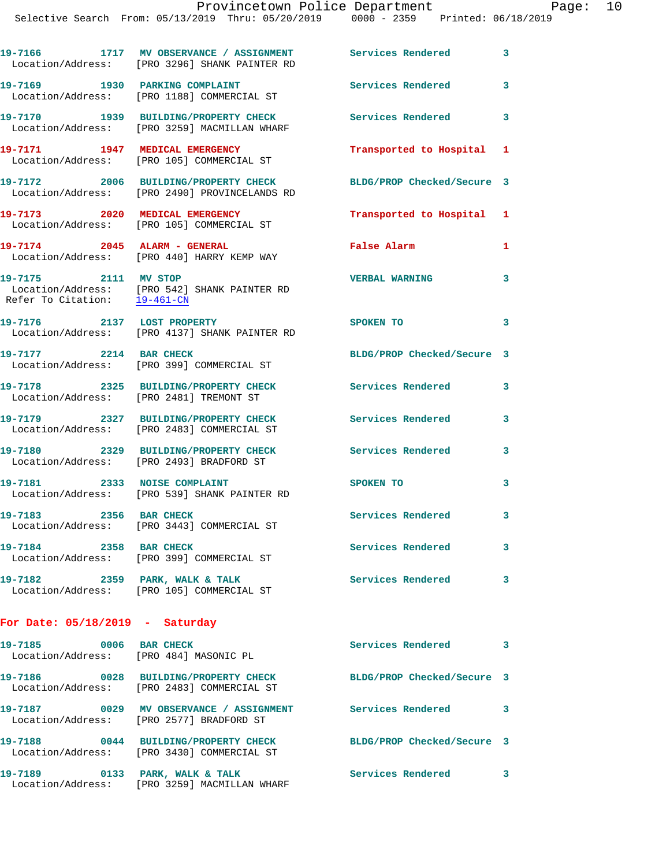|                                                      | 19-7166 1717 MV OBSERVANCE / ASSIGNMENT<br>Location/Address: [PRO 3296] SHANK PAINTER RD | <b>Services Rendered</b>   | 3                       |
|------------------------------------------------------|------------------------------------------------------------------------------------------|----------------------------|-------------------------|
|                                                      | 19-7169 1930 PARKING COMPLAINT<br>Location/Address: [PRO 1188] COMMERCIAL ST             | Services Rendered 3        |                         |
|                                                      | 19-7170 1939 BUILDING/PROPERTY CHECK<br>Location/Address: [PRO 3259] MACMILLAN WHARF     | <b>Services Rendered</b>   | $\overline{\mathbf{3}}$ |
|                                                      | 19-7171 1947 MEDICAL EMERGENCY<br>Location/Address: [PRO 105] COMMERCIAL ST              | Transported to Hospital 1  |                         |
|                                                      | 19-7172 2006 BUILDING/PROPERTY CHECK<br>Location/Address: [PRO 2490] PROVINCELANDS RD    | BLDG/PROP Checked/Secure 3 |                         |
|                                                      | 19-7173 2020 MEDICAL EMERGENCY<br>Location/Address: [PRO 105] COMMERCIAL ST              | Transported to Hospital 1  |                         |
|                                                      | 19-7174 2045 ALARM - GENERAL<br>Location/Address: [PRO 440] HARRY KEMP WAY               | False Alarm                | 1                       |
| 19-7175 2111 MV STOP<br>Refer To Citation: 19-461-CN | Location/Address: [PRO 542] SHANK PAINTER RD                                             | <b>VERBAL WARNING</b>      | 3                       |
|                                                      | 19-7176 2137 LOST PROPERTY<br>Location/Address: [PRO 4137] SHANK PAINTER RD              | <b>SPOKEN TO</b>           | $\overline{\mathbf{3}}$ |
|                                                      | 19-7177 2214 BAR CHECK<br>Location/Address: [PRO 399] COMMERCIAL ST                      | BLDG/PROP Checked/Secure 3 |                         |
|                                                      | 19-7178 2325 BUILDING/PROPERTY CHECK<br>Location/Address: [PRO 2481] TREMONT ST          | Services Rendered 3        |                         |
|                                                      | 19-7179 2327 BUILDING/PROPERTY CHECK<br>Location/Address: [PRO 2483] COMMERCIAL ST       | <b>Services Rendered</b>   | 3                       |
|                                                      | 19-7180 2329 BUILDING/PROPERTY CHECK<br>Location/Address: [PRO 2493] BRADFORD ST         | <b>Services Rendered</b>   | $\mathbf{3}$            |
|                                                      | 19-7181 2333 NOISE COMPLAINT<br>Location/Address: [PRO 539] SHANK PAINTER RD             | <b>SPOKEN TO</b>           | 3                       |
| 19-7183 2356 BAR CHECK                               | Location/Address: [PRO 3443] COMMERCIAL ST                                               | <b>Services Rendered</b>   | 3                       |
| 19-7184 2358 BAR CHECK                               | Location/Address: [PRO 399] COMMERCIAL ST                                                | Services Rendered          | 3                       |
|                                                      | 19-7182 2359 PARK, WALK & TALK<br>Location/Address: [PRO 105] COMMERCIAL ST              | Services Rendered          | 3                       |
| For Date: $05/18/2019$ - Saturday                    |                                                                                          |                            |                         |
| 19-7185 0006 BAR CHECK                               | Location/Address: [PRO 484] MASONIC PL                                                   | Services Rendered          | $\overline{\mathbf{3}}$ |
|                                                      | 19-7186 0028 BUILDING/PROPERTY CHECK<br>Location/Address: [PRO 2483] COMMERCIAL ST       | BLDG/PROP Checked/Secure 3 |                         |
|                                                      |                                                                                          |                            |                         |

**19-7187 0029 MV OBSERVANCE / ASSIGNMENT Services Rendered 3**  Location/Address: [PRO 2577] BRADFORD ST **19-7188 0044 BUILDING/PROPERTY CHECK BLDG/PROP Checked/Secure 3**  Location/Address: [PRO 3430] COMMERCIAL ST **19-7189 0133 PARK, WALK & TALK Services Rendered 3** 

Location/Address: [PRO 3259] MACMILLAN WHARF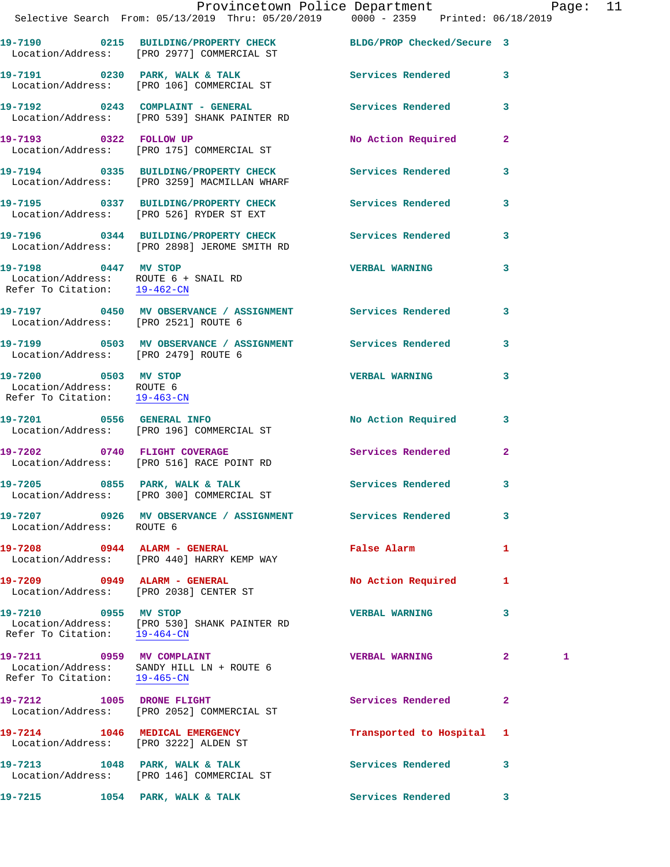|                                                                                   | Provincetown Police Department Page: 11<br>Selective Search From: 05/13/2019 Thru: 05/20/2019   0000 - 2359   Printed: 06/18/2019 |                           |              |   |  |
|-----------------------------------------------------------------------------------|-----------------------------------------------------------------------------------------------------------------------------------|---------------------------|--------------|---|--|
|                                                                                   | 19-7190 0215 BUILDING/PROPERTY CHECK BLDG/PROP Checked/Secure 3<br>Location/Address: [PRO 2977] COMMERCIAL ST                     |                           |              |   |  |
|                                                                                   |                                                                                                                                   | Services Rendered 3       |              |   |  |
|                                                                                   | 19-7192 0243 COMPLAINT - GENERAL Services Rendered<br>Location/Address: [PRO 539] SHANK PAINTER RD                                |                           | $\mathbf{3}$ |   |  |
|                                                                                   | 19-7193 0322 FOLLOW UP<br>Location/Address: [PRO 175] COMMERCIAL ST                                                               | No Action Required 2      |              |   |  |
|                                                                                   | 19-7194 0335 BUILDING/PROPERTY CHECK Services Rendered<br>Location/Address: [PRO 3259] MACMILLAN WHARF                            |                           | 3            |   |  |
|                                                                                   | 19-7195 0337 BUILDING/PROPERTY CHECK Services Rendered 3<br>Location/Address: [PRO 526] RYDER ST EXT                              |                           |              |   |  |
|                                                                                   | 19-7196 0344 BUILDING/PROPERTY CHECK Services Rendered<br>Location/Address: [PRO 2898] JEROME SMITH RD                            |                           | $\mathbf{3}$ |   |  |
| 19-7198 0447 MV STOP                                                              | Location/Address: ROUTE 6 + SNAIL RD<br>Refer To Citation: 19-462-CN                                                              | <b>VERBAL WARNING</b>     | 3            |   |  |
|                                                                                   |                                                                                                                                   |                           |              |   |  |
| Location/Address: [PRO 2479] ROUTE 6                                              | 19-7199 0503 MV OBSERVANCE / ASSIGNMENT Services Rendered                                                                         |                           | 3            |   |  |
| 19-7200 0503 MV STOP<br>Location/Address: ROUTE 6<br>Refer To Citation: 19-463-CN |                                                                                                                                   | <b>VERBAL WARNING</b>     | 3            |   |  |
|                                                                                   | 19-7201 0556 GENERAL INFO<br>Location/Address: [PRO 196] COMMERCIAL ST                                                            | No Action Required 3      |              |   |  |
|                                                                                   | 19-7202 0740 FLIGHT COVERAGE<br>Location/Address: [PRO 516] RACE POINT RD                                                         | Services Rendered 2       |              |   |  |
| 19-7205                                                                           | 0855 PARK, WALK & TALK<br>Location/Address: [PRO 300] COMMERCIAL ST                                                               | Services Rendered         | 3            |   |  |
| Location/Address: ROUTE 6                                                         | 19-7207 0926 MV OBSERVANCE / ASSIGNMENT Services Rendered                                                                         |                           | 3            |   |  |
|                                                                                   | 19-7208 0944 ALARM - GENERAL<br>Location/Address: [PRO 440] HARRY KEMP WAY                                                        | <b>False Alarm</b>        | 1            |   |  |
|                                                                                   | 19-7209 0949 ALARM - GENERAL<br>Location/Address: [PRO 2038] CENTER ST                                                            | No Action Required        | 1            |   |  |
| 19-7210 0955 MV STOP<br>Refer To Citation: 19-464-CN                              | Location/Address: [PRO 530] SHANK PAINTER RD                                                                                      | <b>VERBAL WARNING</b>     | 3            |   |  |
| 19-7211 0959 MV COMPLAINT<br>Refer To Citation: 19-465-CN                         | Location/Address: SANDY HILL LN + ROUTE 6                                                                                         | <b>VERBAL WARNING</b>     | $\mathbf{2}$ | 1 |  |
|                                                                                   | 19-7212 1005 DRONE FLIGHT<br>Location/Address: [PRO 2052] COMMERCIAL ST                                                           | Services Rendered         | -2           |   |  |
|                                                                                   | 19-7214 1046 MEDICAL EMERGENCY<br>Location/Address: [PRO 3222] ALDEN ST                                                           | Transported to Hospital 1 |              |   |  |
|                                                                                   | 19-7213 1048 PARK, WALK & TALK<br>Location/Address: [PRO 146] COMMERCIAL ST                                                       | <b>Services Rendered</b>  | 3            |   |  |
| 19-7215 1054 PARK, WALK & TALK                                                    |                                                                                                                                   | Services Rendered 3       |              |   |  |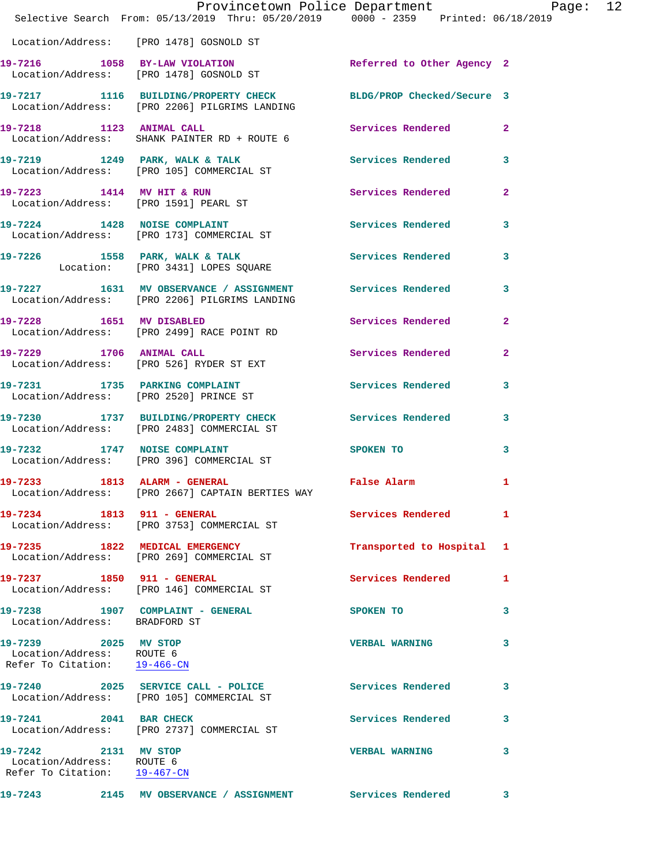|                                                                                   | Provincetown Police Department<br>Selective Search From: 05/13/2019 Thru: 05/20/2019 0000 - 2359 Printed: 06/18/2019 |                              |              |
|-----------------------------------------------------------------------------------|----------------------------------------------------------------------------------------------------------------------|------------------------------|--------------|
|                                                                                   | Location/Address: [PRO 1478] GOSNOLD ST                                                                              |                              |              |
|                                                                                   | 19-7216 1058 BY-LAW VIOLATION<br>Location/Address: [PRO 1478] GOSNOLD ST                                             | Referred to Other Agency 2   |              |
|                                                                                   | 19-7217 1116 BUILDING/PROPERTY CHECK BLDG/PROP Checked/Secure 3<br>Location/Address: [PRO 2206] PILGRIMS LANDING     |                              |              |
|                                                                                   | 19-7218 1123 ANIMAL CALL Services Rendered 2<br>Location/Address: SHANK PAINTER RD + ROUTE 6                         |                              |              |
|                                                                                   | 19-7219 1249 PARK, WALK & TALK 1991 Services Rendered 3<br>Location/Address: [PRO 105] COMMERCIAL ST                 |                              |              |
|                                                                                   | 19-7223 1414 MV HIT & RUN Services Rendered 2<br>Location/Address: [PRO 1591] PEARL ST                               |                              |              |
|                                                                                   | 19-7224 1428 NOISE COMPLAINT<br>Location/Address: [PRO 173] COMMERCIAL ST                                            | Services Rendered 3          |              |
|                                                                                   | 19-7226 1558 PARK, WALK & TALK 19-7226 Services Rendered<br>Location: [PRO 3431] LOPES SQUARE                        |                              | $\mathbf{3}$ |
|                                                                                   | 19-7227 1631 MV OBSERVANCE / ASSIGNMENT Services Rendered 3<br>Location/Address: [PRO 2206] PILGRIMS LANDING         |                              |              |
|                                                                                   | 19-7228 1651 MV DISABLED<br>Location/Address: [PRO 2499] RACE POINT RD                                               | Services Rendered            | $\mathbf{2}$ |
|                                                                                   | 19-7229 1706 ANIMAL CALL<br>Location/Address: [PRO 526] RYDER ST EXT                                                 | Services Rendered 2          |              |
|                                                                                   | 19-7231 1735 PARKING COMPLAINT Services Rendered<br>Location/Address: [PRO 2520] PRINCE ST                           |                              | 3            |
|                                                                                   | 19-7230 1737 BUILDING/PROPERTY CHECK Services Rendered 3<br>Location/Address: [PRO 2483] COMMERCIAL ST               |                              |              |
|                                                                                   | 19-7232 1747 NOISE COMPLAINT<br>Location/Address: [PRO 396] COMMERCIAL ST                                            | SPOKEN TO AND TO A SPOKEN TO | $\mathbf{3}$ |
| 19-7233 1813 ALARM - GENERAL                                                      | Location/Address: [PRO 2667] CAPTAIN BERTIES WAY                                                                     | False Alarm 1                |              |
|                                                                                   | 19-7234 1813 911 - GENERAL<br>Location/Address: [PRO 3753] COMMERCIAL ST                                             | Services Rendered 1          |              |
|                                                                                   | 19-7235 1822 MEDICAL EMERGENCY<br>Location/Address: [PRO 269] COMMERCIAL ST                                          | Transported to Hospital 1    |              |
| 19-7237 1850 911 - GENERAL                                                        | Location/Address: [PRO 146] COMMERCIAL ST                                                                            | Services Rendered            | 1            |
| Location/Address: BRADFORD ST                                                     | 19-7238 1907 COMPLAINT - GENERAL                                                                                     | <b>SPOKEN TO</b>             | 3            |
| 19-7239 2025 MV STOP<br>Location/Address: ROUTE 6<br>Refer To Citation: 19-466-CN |                                                                                                                      | <b>VERBAL WARNING</b>        | 3            |
|                                                                                   | 19-7240 2025 SERVICE CALL - POLICE Services Rendered 3<br>Location/Address: [PRO 105] COMMERCIAL ST                  |                              |              |
|                                                                                   | 19-7241 2041 BAR CHECK<br>Location/Address: [PRO 2737] COMMERCIAL ST                                                 | Services Rendered            | 3            |
| 19-7242 2131 MV STOP<br>Location/Address: ROUTE 6<br>Refer To Citation: 19-467-CN |                                                                                                                      | <b>VERBAL WARNING</b>        | 3            |
|                                                                                   | 19-7243 2145 MV OBSERVANCE / ASSIGNMENT Services Rendered 3                                                          |                              |              |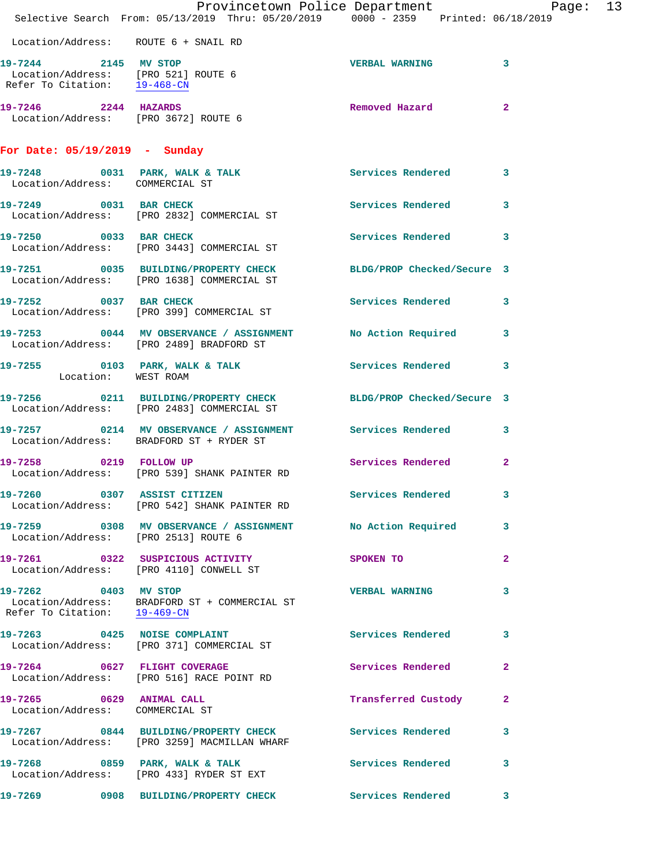|                                                             | Provincetown Police Department Page: 13<br>Selective Search From: $05/13/2019$ Thru: $05/20/2019$ $0000 - 2359$ Printed: $06/18/2019$ |                          |              |  |
|-------------------------------------------------------------|---------------------------------------------------------------------------------------------------------------------------------------|--------------------------|--------------|--|
|                                                             |                                                                                                                                       |                          |              |  |
|                                                             | Location/Address: ROUTE 6 + SNAIL RD                                                                                                  |                          |              |  |
| 19-7244 2145 MV STOP                                        | Location/Address: [PRO 521] ROUTE 6<br>Refer To Citation: 19-468-CN                                                                   | <b>VERBAL WARNING</b> 3  |              |  |
| 19-7246 2244 HAZARDS                                        | Location/Address: [PRO 3672] ROUTE 6                                                                                                  | Removed Hazard           | $\mathbf{2}$ |  |
| For Date: 05/19/2019 - Sunday                               |                                                                                                                                       |                          |              |  |
|                                                             | 19-7248 0031 PARK, WALK & TALK<br>Location/Address: COMMERCIAL ST                                                                     | Services Rendered 3      |              |  |
|                                                             | 19-7249 0031 BAR CHECK<br>Location/Address: [PRO 2832] COMMERCIAL ST                                                                  | Services Rendered        | $\mathbf{3}$ |  |
|                                                             | 19-7250 0033 BAR CHECK<br>Location/Address: [PRO 3443] COMMERCIAL ST                                                                  | Services Rendered 3      |              |  |
|                                                             | 19-7251 0035 BUILDING/PROPERTY CHECK BLDG/PROP Checked/Secure 3<br>Location/Address: [PRO 1638] COMMERCIAL ST                         |                          |              |  |
|                                                             | 19-7252 0037 BAR CHECK<br>Location/Address: [PRO 399] COMMERCIAL ST                                                                   | Services Rendered 3      |              |  |
|                                                             | 19-7253 0044 MV OBSERVANCE / ASSIGNMENT No Action Required 3<br>Location/Address: [PRO 2489] BRADFORD ST                              |                          |              |  |
| Location: WEST ROAM                                         | 19-7255 0103 PARK, WALK & TALK 3 Services Rendered 3                                                                                  |                          |              |  |
|                                                             | 19-7256 0211 BUILDING/PROPERTY CHECK BLDG/PROP Checked/Secure 3<br>Location/Address: [PRO 2483] COMMERCIAL ST                         |                          |              |  |
|                                                             | 19-7257 0214 MV OBSERVANCE / ASSIGNMENT Services Rendered 3<br>Location/Address: BRADFORD ST + RYDER ST                               |                          |              |  |
|                                                             | 19-7258 0219 FOLLOW UP<br>Location/Address: [PRO 539] SHANK PAINTER RD                                                                | Services Rendered 2      |              |  |
|                                                             | 19-7260 0307 ASSIST CITIZEN<br>Location/Address: [PRO 542] SHANK PAINTER RD                                                           | Services Rendered 3      |              |  |
| Location/Address: [PRO 2513] ROUTE 6                        | 19-7259 		 0308 MV OBSERVANCE / ASSIGNMENT 		 No Action Required 		 3                                                                 |                          |              |  |
|                                                             | 19-7261 0322 SUSPICIOUS ACTIVITY<br>Location/Address: [PRO 4110] CONWELL ST                                                           | <b>SPOKEN TO</b>         | $\mathbf{2}$ |  |
| 19-7262 0403 MV STOP<br>Refer To Citation: 19-469-CN        | Location/Address: BRADFORD ST + COMMERCIAL ST                                                                                         | <b>VERBAL WARNING</b>    | 3            |  |
|                                                             | 19-7263 0425 NOISE COMPLAINT<br>Location/Address: [PRO 371] COMMERCIAL ST                                                             | Services Rendered 3      |              |  |
|                                                             | 19-7264 0627 FLIGHT COVERAGE<br>Location/Address: [PRO 516] RACE POINT RD                                                             | Services Rendered        | $\mathbf{2}$ |  |
| 19-7265 0629 ANIMAL CALL<br>Location/Address: COMMERCIAL ST |                                                                                                                                       | Transferred Custody 2    |              |  |
|                                                             | 19-7267 0844 BUILDING/PROPERTY CHECK Services Rendered<br>Location/Address: [PRO 3259] MACMILLAN WHARF                                |                          | 3            |  |
|                                                             | 19-7268 0859 PARK, WALK & TALK<br>Location/Address: [PRO 433] RYDER ST EXT                                                            | <b>Services Rendered</b> | 3            |  |
|                                                             | 19-7269 		 0908 BUILDING/PROPERTY CHECK Services Rendered 3                                                                           |                          |              |  |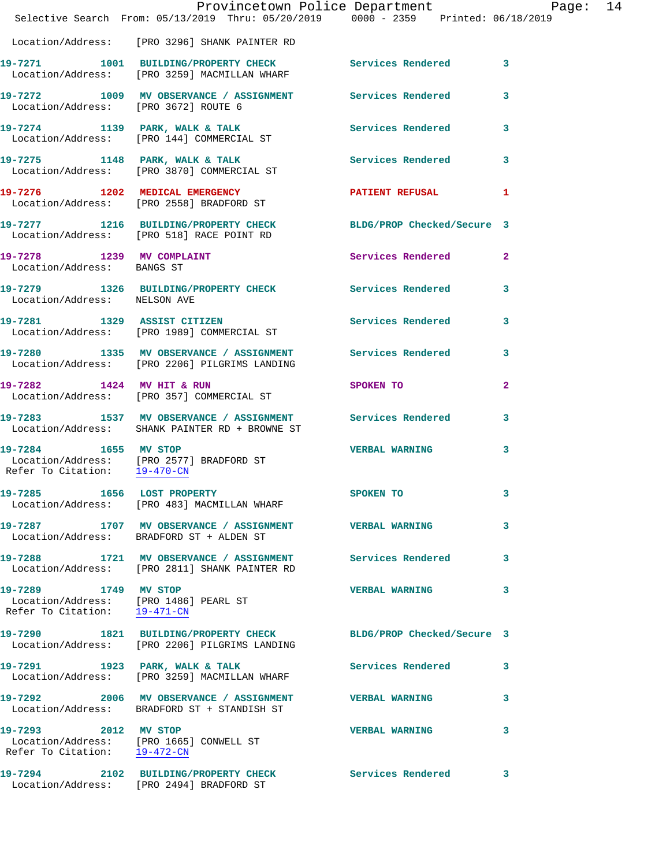|                                                         | Provincetown Police Department Page: 14<br>Selective Search From: 05/13/2019 Thru: 05/20/2019   0000 - 2359   Printed: 06/18/2019 |                          |              |  |
|---------------------------------------------------------|-----------------------------------------------------------------------------------------------------------------------------------|--------------------------|--------------|--|
|                                                         | Location/Address: [PRO 3296] SHANK PAINTER RD                                                                                     |                          |              |  |
|                                                         | 19-7271 1001 BUILDING/PROPERTY CHECK Services Rendered 3<br>Location/Address: [PRO 3259] MACMILLAN WHARF                          |                          |              |  |
|                                                         | 19-7272 1009 MV OBSERVANCE / ASSIGNMENT Services Rendered<br>Location/Address: [PRO 3672] ROUTE 6                                 |                          | $\mathbf{3}$ |  |
|                                                         | 19-7274 1139 PARK, WALK & TALK 19 Services Rendered<br>Location/Address: [PRO 144] COMMERCIAL ST                                  |                          | $\mathbf{3}$ |  |
|                                                         | 19-7275 1148 PARK, WALK & TALK 1998 Services Rendered<br>Location/Address: [PRO 3870] COMMERCIAL ST                               |                          | 3            |  |
|                                                         | 19-7276 1202 MEDICAL EMERGENCY PATIENT REFUSAL 1<br>Location/Address: [PRO 2558] BRADFORD ST                                      |                          |              |  |
|                                                         | 19-7277 1216 BUILDING/PROPERTY CHECK BLDG/PROP Checked/Secure 3<br>Location/Address: [PRO 518] RACE POINT RD                      |                          |              |  |
| 19-7278 1239 MV COMPLAINT<br>Location/Address: BANGS ST |                                                                                                                                   | Services Rendered        | $\mathbf{2}$ |  |
| Location/Address: NELSON AVE                            | 19-7279 1326 BUILDING/PROPERTY CHECK Services Rendered 3                                                                          |                          |              |  |
|                                                         | 19-7281 1329 ASSIST CITIZEN<br>Location/Address: [PRO 1989] COMMERCIAL ST                                                         | <b>Services Rendered</b> | 3            |  |
|                                                         | 19-7280 1335 MV OBSERVANCE / ASSIGNMENT Services Rendered 3<br>Location/Address: [PRO 2206] PILGRIMS LANDING                      |                          |              |  |
|                                                         | 19-7282 1424 MV HIT & RUN<br>Location/Address: [PRO 357] COMMERCIAL ST                                                            | SPOKEN TO                | $\mathbf{2}$ |  |
|                                                         | 19-7283 1537 MV OBSERVANCE / ASSIGNMENT Services Rendered 3<br>Location/Address: SHANK PAINTER RD + BROWNE ST                     |                          |              |  |
| 19-7284 1655 MV STOP                                    | Location/Address: [PRO 2577] BRADFORD ST<br>Refer To Citation: $\frac{19-470\text{ -CN}}{29-470\text{ -CN}}$                      | <b>VERBAL WARNING</b>    | 3            |  |
|                                                         | 19-7285 1656 LOST PROPERTY<br>Location/Address: [PRO 483] MACMILLAN WHARF                                                         | SPOKEN TO                |              |  |
|                                                         | 19-7287 1707 MV OBSERVANCE / ASSIGNMENT VERBAL WARNING<br>Location/Address: BRADFORD ST + ALDEN ST                                |                          | 3            |  |
|                                                         | 19-7288 1721 MV OBSERVANCE / ASSIGNMENT Services Rendered 3<br>Location/Address: [PRO 2811] SHANK PAINTER RD                      |                          |              |  |
| 19-7289 1749 MV STOP<br>Refer To Citation: 19-471-CN    | Location/Address: [PRO 1486] PEARL ST                                                                                             | <b>VERBAL WARNING</b>    | 3            |  |
|                                                         | 19-7290 1821 BUILDING/PROPERTY CHECK BLDG/PROP Checked/Secure 3<br>Location/Address: [PRO 2206] PILGRIMS LANDING                  |                          |              |  |
|                                                         | 19-7291 1923 PARK, WALK & TALK<br>Location/Address: [PRO 3259] MACMILLAN WHARF                                                    | <b>Services Rendered</b> | 3            |  |
|                                                         | 19-7292 2006 MV OBSERVANCE / ASSIGNMENT VERBAL WARNING<br>Location/Address: BRADFORD ST + STANDISH ST                             |                          | 3            |  |
| Refer To Citation: 19-472-CN                            |                                                                                                                                   | <b>VERBAL WARNING</b>    | 3            |  |
|                                                         | 19-7294 2102 BUILDING/PROPERTY CHECK<br>Location/Address: [PRO 2494] BRADFORD ST                                                  | Services Rendered        | 3            |  |
|                                                         |                                                                                                                                   |                          |              |  |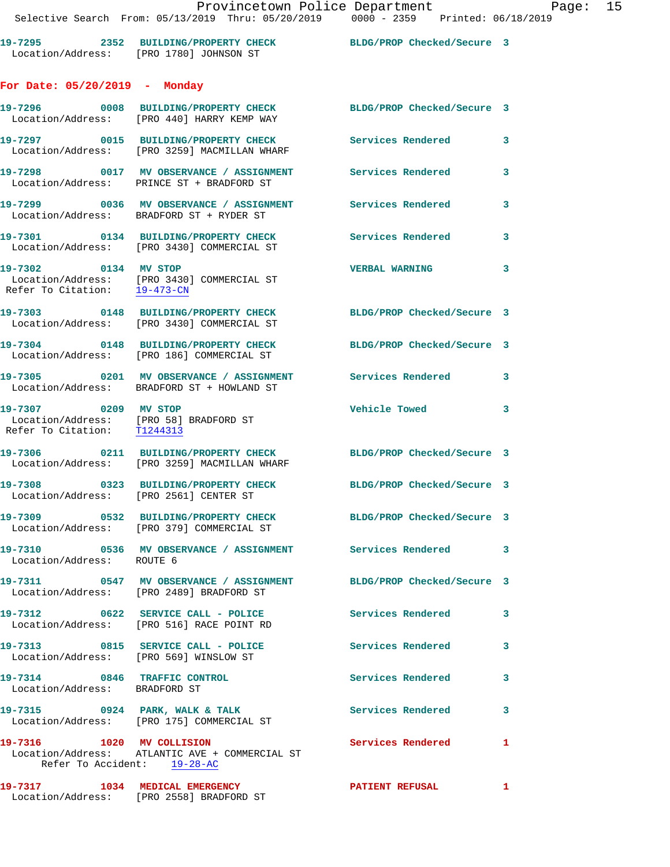|                                                     | Provincetown Police Department                                                                                |                            |   |
|-----------------------------------------------------|---------------------------------------------------------------------------------------------------------------|----------------------------|---|
|                                                     | Selective Search From: 05/13/2019 Thru: 05/20/2019 0000 - 2359 Printed: 06/18/2019                            |                            |   |
|                                                     | 19-7295 2352 BUILDING/PROPERTY CHECK BLDG/PROP Checked/Secure 3<br>Location/Address: [PRO 1780] JOHNSON ST    |                            |   |
| For Date: 05/20/2019 - Monday                       |                                                                                                               |                            |   |
|                                                     | 19-7296 0008 BUILDING/PROPERTY CHECK BLDG/PROP Checked/Secure 3<br>Location/Address: [PRO 440] HARRY KEMP WAY |                            |   |
|                                                     | 19-7297 0015 BUILDING/PROPERTY CHECK Services Rendered<br>Location/Address: [PRO 3259] MACMILLAN WHARF        |                            | 3 |
|                                                     | 19-7298 0017 MV OBSERVANCE / ASSIGNMENT Services Rendered<br>Location/Address: PRINCE ST + BRADFORD ST        |                            | 3 |
|                                                     | 19-7299 0036 MV OBSERVANCE / ASSIGNMENT Services Rendered<br>Location/Address: BRADFORD ST + RYDER ST         |                            | 3 |
|                                                     | 19-7301 0134 BUILDING/PROPERTY CHECK Services Rendered<br>Location/Address: [PRO 3430] COMMERCIAL ST          |                            | 3 |
| 19-7302 0134 MV STOP                                | Location/Address: [PRO 3430] COMMERCIAL ST<br>Refer To Citation: $\frac{19-473-\text{CN}}{2}$                 | <b>VERBAL WARNING</b>      | 3 |
|                                                     | 19-7303 0148 BUILDING/PROPERTY CHECK BLDG/PROP Checked/Secure 3<br>Location/Address: [PRO 3430] COMMERCIAL ST |                            |   |
|                                                     | 19-7304 0148 BUILDING/PROPERTY CHECK BLDG/PROP Checked/Secure 3<br>Location/Address: [PRO 186] COMMERCIAL ST  |                            |   |
|                                                     | 19-7305 0201 MV OBSERVANCE / ASSIGNMENT Services Rendered<br>Location/Address: BRADFORD ST + HOWLAND ST       |                            | 3 |
| 19-7307 0209 MV STOP<br>Refer To Citation: T1244313 | Location/Address: [PRO 58] BRADFORD ST                                                                        | <b>Vehicle Towed</b>       | 3 |
|                                                     | 19-7306 0211 BUILDING/PROPERTY CHECK<br>Location/Address: [PRO 3259] MACMILLAN WHARF                          | BLDG/PROP Checked/Secure 3 |   |
| Location/Address: [PRO 2561] CENTER ST              | 19-7308 0323 BUILDING/PROPERTY CHECK                                                                          | BLDG/PROP Checked/Secure 3 |   |
|                                                     | 19-7309 0532 BUILDING/PROPERTY CHECK<br>Location/Address: [PRO 379] COMMERCIAL ST                             | BLDG/PROP Checked/Secure 3 |   |
| Location/Address: ROUTE 6                           | 19-7310 0536 MV OBSERVANCE / ASSIGNMENT                                                                       | Services Rendered          | 3 |
|                                                     | 19-7311 0547 MV OBSERVANCE / ASSIGNMENT<br>Location/Address: [PRO 2489] BRADFORD ST                           | BLDG/PROP Checked/Secure 3 |   |
|                                                     | 19-7312 0622 SERVICE CALL - POLICE<br>Location/Address: [PRO 516] RACE POINT RD                               | Services Rendered          | 3 |

**19-7313 0815 SERVICE CALL - POLICE Services Rendered 3**  Location/Address: [PRO 569] WINSLOW ST **19-7314 0846 TRAFFIC CONTROL Services Rendered 3**  Location/Address: BRADFORD ST **19-7315 0924 PARK, WALK & TALK Services Rendered 3**  Location/Address: [PRO 175] COMMERCIAL ST **19-7316 1020 MV COLLISION Services Rendered 1**  Location/Address: ATLANTIC AVE + COMMERCIAL ST Refer To Accident: 19-28-AC

**19-7317 1034 MEDICAL EMERGENCY PATIENT REFUSAL 1**  Location/Address: [PRO 2558] BRADFORD ST